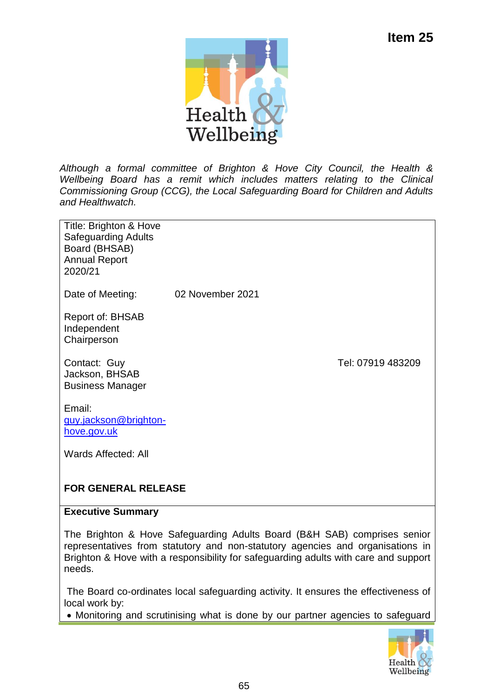

*Although a formal committee of Brighton & Hove City Council, the Health & Wellbeing Board has a remit which includes matters relating to the Clinical Commissioning Group (CCG), the Local Safeguarding Board for Children and Adults and Healthwatch.*

| Title: Brighton & Hove<br><b>Safeguarding Adults</b><br>Board (BHSAB)<br><b>Annual Report</b><br>2020/21 |                  |                   |
|----------------------------------------------------------------------------------------------------------|------------------|-------------------|
| Date of Meeting:                                                                                         | 02 November 2021 |                   |
| Report of: BHSAB<br>Independent<br>Chairperson                                                           |                  |                   |
| Contact: Guy<br>Jackson, BHSAB<br><b>Business Manager</b>                                                |                  | Tel: 07919 483209 |
| Email:<br>guy.jackson@brighton-<br>hove.gov.uk                                                           |                  |                   |
| Wards Affected: All                                                                                      |                  |                   |

# **FOR GENERAL RELEASE**

#### **Executive Summary**

The Brighton & Hove Safeguarding Adults Board (B&H SAB) comprises senior representatives from statutory and non-statutory agencies and organisations in Brighton & Hove with a responsibility for safeguarding adults with care and support needs.

The Board co-ordinates local safeguarding activity. It ensures the effectiveness of local work by:

Monitoring and scrutinising what is done by our partner agencies to safeguard

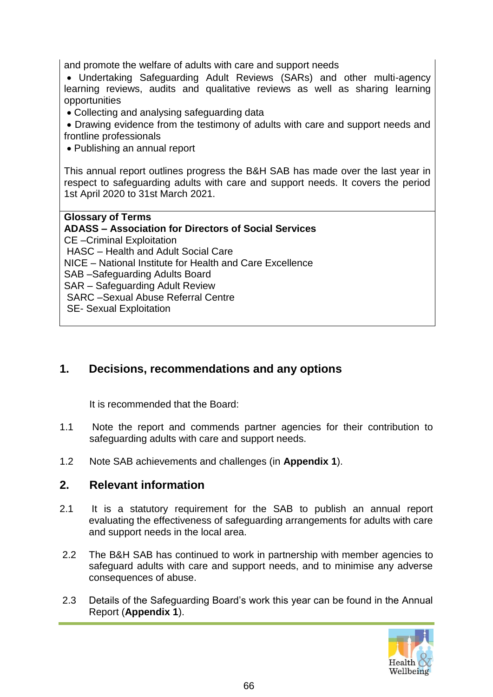and promote the welfare of adults with care and support needs

 Undertaking Safeguarding Adult Reviews (SARs) and other multi-agency learning reviews, audits and qualitative reviews as well as sharing learning opportunities

Collecting and analysing safeguarding data

 Drawing evidence from the testimony of adults with care and support needs and frontline professionals

Publishing an annual report

This annual report outlines progress the B&H SAB has made over the last year in respect to safeguarding adults with care and support needs. It covers the period 1st April 2020 to 31st March 2021.

**Glossary of Terms ADASS – Association for Directors of Social Services** CE –Criminal Exploitation HASC – Health and Adult Social Care NICE – National Institute for Health and Care Excellence SAB –Safeguarding Adults Board SAR – Safeguarding Adult Review SARC –Sexual Abuse Referral Centre SE- Sexual Exploitation

### **1. Decisions, recommendations and any options**

It is recommended that the Board:

- 1.1 Note the report and commends partner agencies for their contribution to safeguarding adults with care and support needs.
- 1.2 Note SAB achievements and challenges (in **Appendix 1**).

#### **2. Relevant information**

- 2.1 It is a statutory requirement for the SAB to publish an annual report evaluating the effectiveness of safeguarding arrangements for adults with care and support needs in the local area.
- 2.2 The B&H SAB has continued to work in partnership with member agencies to safeguard adults with care and support needs, and to minimise any adverse consequences of abuse.
- 2.3 Details of the Safeguarding Board's work this year can be found in the Annual Report (**Appendix 1**).

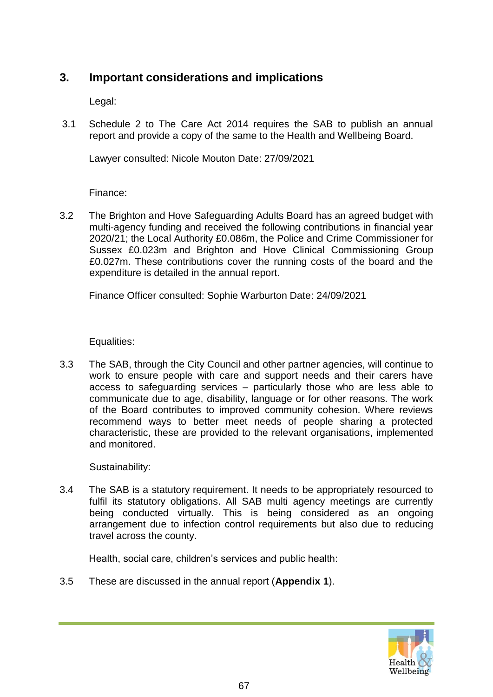#### **3. Important considerations and implications**

Legal:

3.1 Schedule 2 to The Care Act 2014 requires the SAB to publish an annual report and provide a copy of the same to the Health and Wellbeing Board.

Lawyer consulted: Nicole Mouton Date: 27/09/2021

Finance:

3.2 The Brighton and Hove Safeguarding Adults Board has an agreed budget with multi-agency funding and received the following contributions in financial year 2020/21; the Local Authority £0.086m, the Police and Crime Commissioner for Sussex £0.023m and Brighton and Hove Clinical Commissioning Group £0.027m. These contributions cover the running costs of the board and the expenditure is detailed in the annual report.

Finance Officer consulted: Sophie Warburton Date: 24/09/2021

Equalities:

3.3 The SAB, through the City Council and other partner agencies, will continue to work to ensure people with care and support needs and their carers have access to safeguarding services – particularly those who are less able to communicate due to age, disability, language or for other reasons. The work of the Board contributes to improved community cohesion. Where reviews recommend ways to better meet needs of people sharing a protected characteristic, these are provided to the relevant organisations, implemented and monitored.

Sustainability:

3.4 The SAB is a statutory requirement. It needs to be appropriately resourced to fulfil its statutory obligations. All SAB multi agency meetings are currently being conducted virtually. This is being considered as an ongoing arrangement due to infection control requirements but also due to reducing travel across the county.

Health, social care, children's services and public health:

3.5 These are discussed in the annual report (**Appendix 1**).